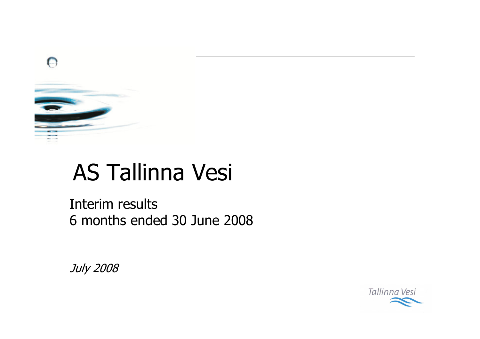

# **AS Tallinna Vesi**

Interim results 6 months ended 30 June 2008

July 2008

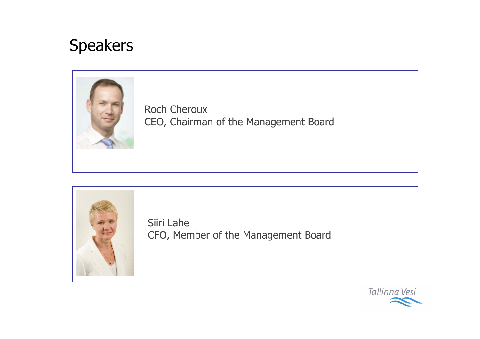#### **Speakers**



**Roch Cheroux** CEO, Chairman of the Management Board



Siiri Lahe CFO, Member of the Management Board

Tallinna Vesi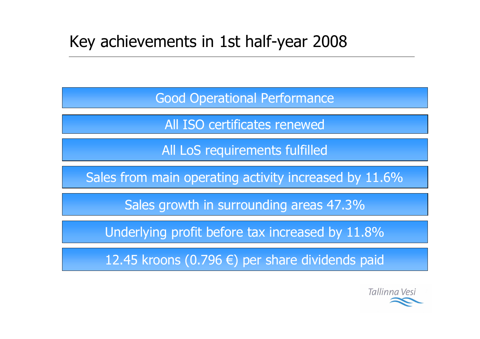#### Key achievements in 1st half-year 2008

**Good Operational Performance** 

All ISO certificates renewed

All LoS requirements fulfilled

Sales from main operating activity increased by 11.6%

Sales growth in surrounding areas 47.3%

Underlying profit before tax increased by 11.8%

12.45 kroons (0.796 €) per share dividends paid

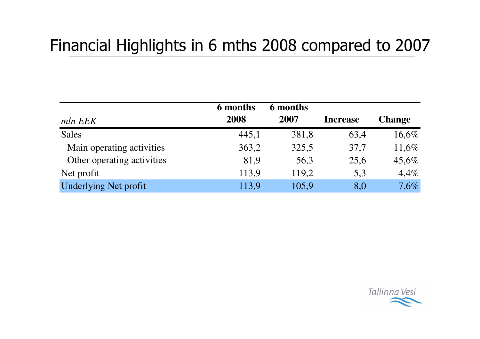#### Financial Highlights in 6 mths 2008 compared to 2007

|                              | 6 months | 6 months |                 |               |
|------------------------------|----------|----------|-----------------|---------------|
| mln EEK                      | 2008     | 2007     | <b>Increase</b> | <b>Change</b> |
| <b>Sales</b>                 | 445,1    | 381,8    | 63,4            | 16,6%         |
| Main operating activities    | 363,2    | 325,5    | 37,7            | 11,6%         |
| Other operating activities   | 81,9     | 56,3     | 25,6            | 45,6%         |
| Net profit                   | 113,9    | 119,2    | $-5,3$          | $-4,4%$       |
| <b>Underlying Net profit</b> | 113,9    | 105,9    | 8,0             | 7,6%          |

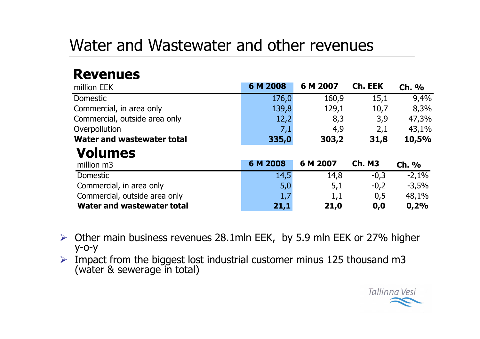#### Water and Wastewater and other revenues

#### **Revenues**

| million EEK                       | 6 M 2008 | 6 M 2007 | Ch. EEK       | Ch. %   |
|-----------------------------------|----------|----------|---------------|---------|
| Domestic                          | 176,0    | 160,9    | 15,1          | 9,4%    |
| Commercial, in area only          | 139,8    | 129,1    | 10,7          | 8,3%    |
| Commercial, outside area only     | 12,2     | 8,3      | 3,9           | 47,3%   |
| Overpollution                     | 7,1      | 4,9      | 2,1           | 43,1%   |
| <b>Water and wastewater total</b> | 335,0    | 303,2    | 31,8          | 10,5%   |
| <b>Volumes</b>                    |          |          |               |         |
| million m3                        | 6 M 2008 | 6 M 2007 | <b>Ch. M3</b> | $Ch.$ % |
|                                   |          |          |               |         |
| Domestic                          | 14,5     | 14,8     | $-0,3$        | $-2,1%$ |
| Commercial, in area only          | 5,0      | 5,1      | $-0,2$        | $-3,5%$ |
| Commercial, outside area only     | 1,7      | 1,1      | 0,5           | 48,1%   |

- $\triangleright$  Other main business revenues 28.1mln EEK, by 5.9 mln EEK or 27% higher  $y$ -0- $y$
- $\triangleright$  Impact from the biggest lost industrial customer minus 125 thousand m3 (water & sewerage in total)

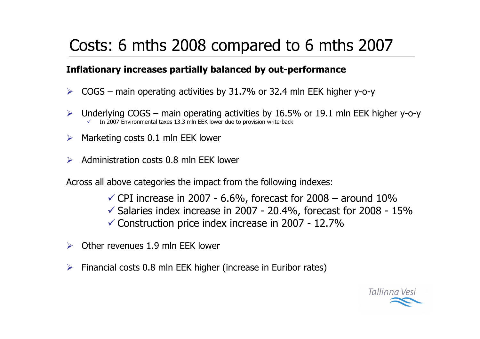### Costs: 6 mths 2008 compared to 6 mths 2007

#### Inflationary increases partially balanced by out-performance

- $COGS$  main operating activities by 31.7% or 32.4 mln EEK higher y-o-y  $\blacktriangleright$
- Underlying  $COGS$  main operating activities by 16.5% or 19.1 mln EEK higher y-o-y  $\blacktriangleright$ In 2007 Environmental taxes 13.3 mln EEK lower due to provision write-back
- Marketing costs 0.1 mln EEK lower  $\blacktriangleright$
- Administration costs 0.8 mln EEK lower

Across all above categories the impact from the following indexes:

- $\checkmark$  CPI increase in 2007 6.6%, forecast for 2008 around 10%
- $\checkmark$  Salaries index increase in 2007 20.4%, forecast for 2008 15%
- √ Construction price index increase in 2007 12.7%
- Other revenues 1.9 mln EEK lower
- Financial costs 0.8 mln EEK higher (increase in Euribor rates)  $\blacktriangleright$

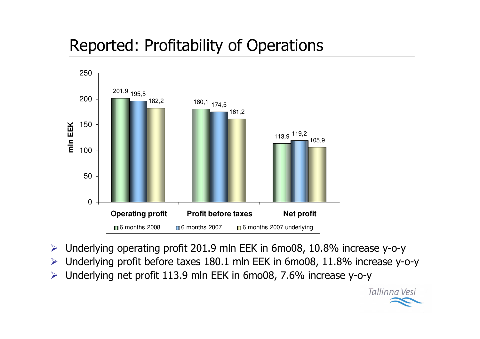## **Reported: Profitability of Operations**



- Underlying operating profit 201.9 mln EEK in 6mo08, 10.8% increase y-o-y  $\blacktriangleright$
- Underlying profit before taxes 180.1 mln EEK in 6mo08, 11.8% increase y-o-y  $\blacktriangleright$
- Underlying net profit 113.9 mln EEK in 6mo08, 7.6% increase y-o-y  $\blacktriangleright$

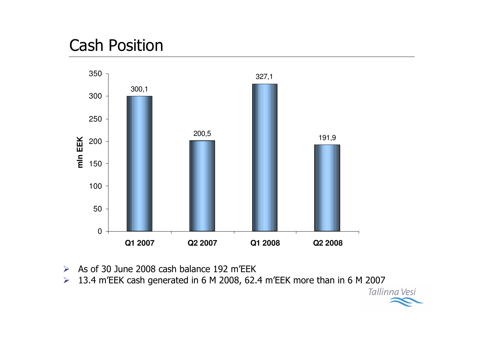#### **Cash Position**



- As of 30 June 2008 cash balance 192 m'EEK  $\blacktriangleright$
- 13.4 m'EEK cash generated in 6 M 2008, 62.4 m'EEK more than in 6 M 2007  $\blacktriangleright$

Tallinna Vesi